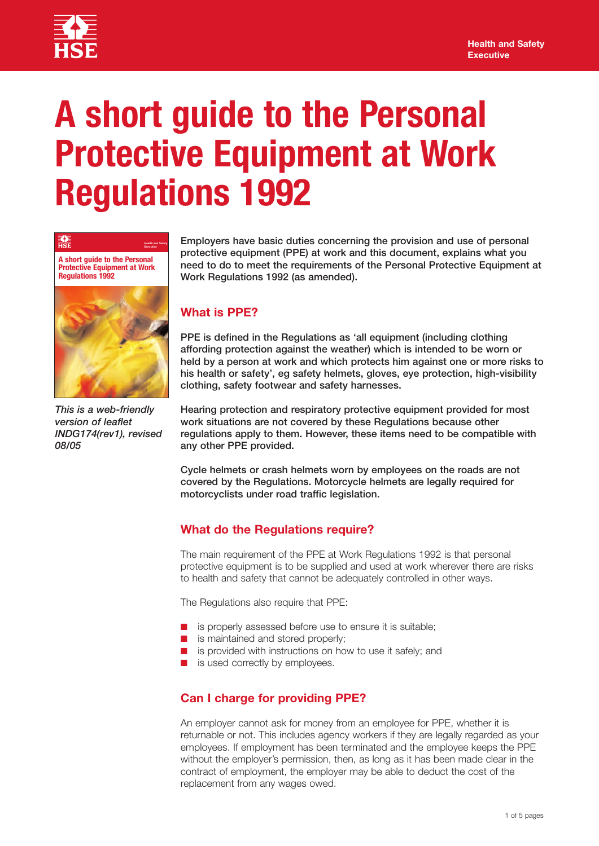

驇

# **A short guide to the Personal Protective Equipment at Work Regulations 1992**



**Health and Safety** 

*This is a web-friendly version of leaflet INDG174(rev1), revised 08/05*

**Employers have basic duties concerning the provision and use of personal protective equipment (PPE) at work and this document, explains what you need to do to meet the requirements of the Personal Protective Equipment at Work Regulations 1992 (as amended).** 

## **What is PPE?**

**PPE is defined in the Regulations as 'all equipment (including clothing affording protection against the weather) which is intended to be worn or held by a person at work and which protects him against one or more risks to his health or safety', eg safety helmets, gloves, eye protection, high-visibility clothing, safety footwear and safety harnesses.** 

**Hearing protection and respiratory protective equipment provided for most work situations are not covered by these Regulations because other regulations apply to them. However, these items need to be compatible with any other PPE provided.** 

**Cycle helmets or crash helmets worn by employees on the roads are not covered by the Regulations. Motorcycle helmets are legally required for motorcyclists under road traffic legislation.** 

## **What do the Regulations require?**

The main requirement of the PPE at Work Regulations 1992 is that personal protective equipment is to be supplied and used at work wherever there are risks to health and safety that cannot be adequately controlled in other ways.

The Regulations also require that PPE:

- is properly assessed before use to ensure it is suitable;
- is maintained and stored properly;
- is provided with instructions on how to use it safely; and
- is used correctly by employees.

## **Can I charge for providing PPE?**

An employer cannot ask for money from an employee for PPE, whether it is returnable or not. This includes agency workers if they are legally regarded as your employees. If employment has been terminated and the employee keeps the PPE without the employer's permission, then, as long as it has been made clear in the contract of employment, the employer may be able to deduct the cost of the replacement from any wages owed.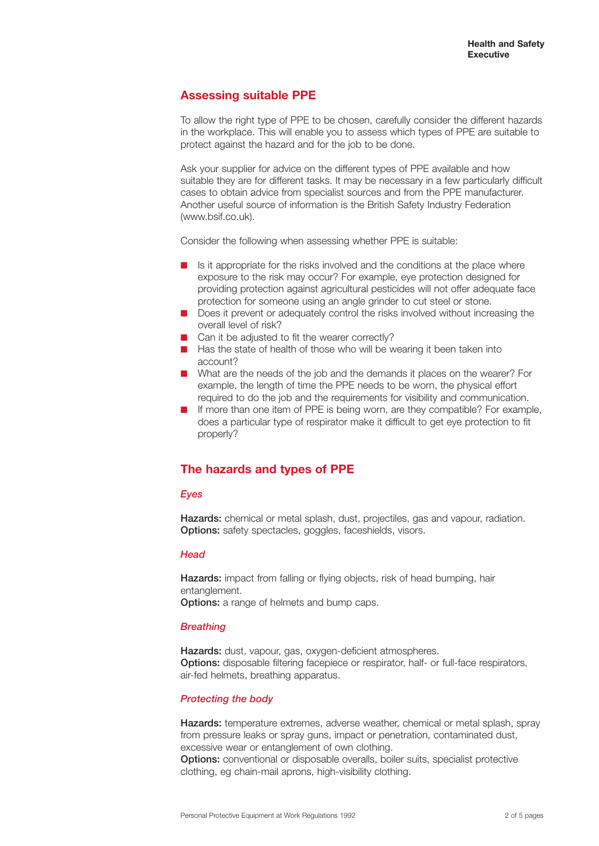## **Assessing suitable PPE**

To allow the right type of PPE to be chosen, carefully consider the different hazards in the workplace. This will enable you to assess which types of PPE are suitable to protect against the hazard and for the job to be done.

Ask your supplier for advice on the different types of PPE available and how suitable they are for different tasks. It may be necessary in a few particularly difficult cases to obtain advice from specialist sources and from the PPE manufacturer. Another useful source of information is the British Safety Industry Federation (www.bsif.co.uk).

Consider the following when assessing whether PPE is suitable:

- Is it appropriate for the risks involved and the conditions at the place where exposure to the risk may occur? For example, eye protection designed for providing protection against agricultural pesticides will not offer adequate face protection for someone using an angle grinder to cut steel or stone.
- Does it prevent or adequately control the risks involved without increasing the overall level of risk?
- Can it be adjusted to fit the wearer correctly?
- Has the state of health of those who will be wearing it been taken into account?
- What are the needs of the job and the demands it places on the wearer? For example, the length of time the PPE needs to be worn, the physical effort required to do the job and the requirements for visibility and communication.
- If more than one item of PPE is being worn, are they compatible? For example, does a particular type of respirator make it difficult to get eye protection to fit properly?

## **The hazards and types of PPE**

#### *Eyes*

**Hazards:** chemical or metal splash, dust, projectiles, gas and vapour, radiation. **Options:** safety spectacles, goggles, faceshields, visors.

#### *Head*

**Hazards:** impact from falling or flying objects, risk of head bumping, hair entanglement. **Options:** a range of helmets and bump caps.

#### *Breathing*

**Hazards:** dust, vapour, gas, oxygen-deficient atmospheres. **Options:** disposable filtering facepiece or respirator, half- or full-face respirators, air-fed helmets, breathing apparatus.

#### *Protecting the body*

**Hazards:** temperature extremes, adverse weather, chemical or metal splash, spray from pressure leaks or spray guns, impact or penetration, contaminated dust, excessive wear or entanglement of own clothing.

**Options:** conventional or disposable overalls, boiler suits, specialist protective clothing, eg chain-mail aprons, high-visibility clothing.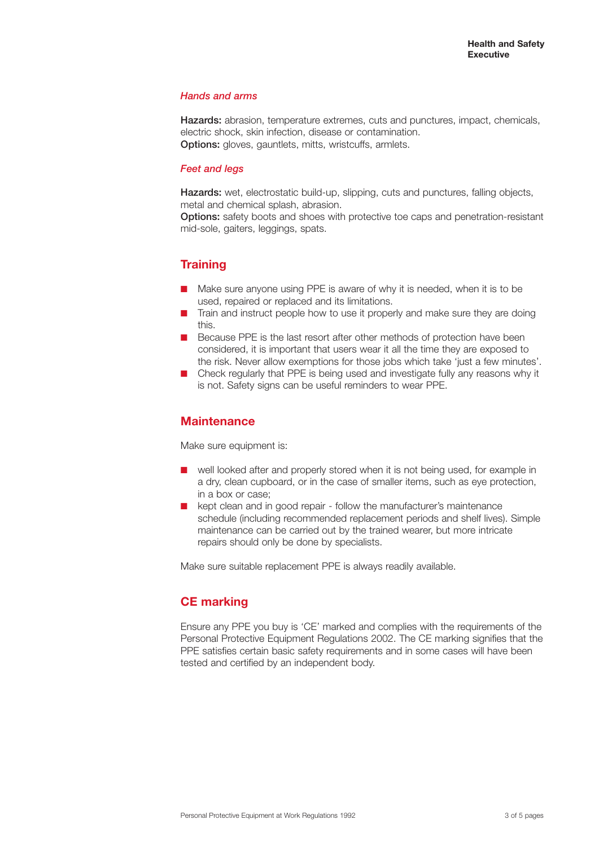#### *Hands and arms*

**Hazards:** abrasion, temperature extremes, cuts and punctures, impact, chemicals, electric shock, skin infection, disease or contamination. **Options:** gloves, gauntlets, mitts, wristcuffs, armlets.

#### *Feet and legs*

**Hazards:** wet, electrostatic build-up, slipping, cuts and punctures, falling objects, metal and chemical splash, abrasion.

**Options:** safety boots and shoes with protective toe caps and penetration-resistant mid-sole, gaiters, leggings, spats.

# **Training**

- Make sure anyone using PPE is aware of why it is needed, when it is to be used, repaired or replaced and its limitations.
- Train and instruct people how to use it properly and make sure they are doing this.
- **■** Because PPE is the last resort after other methods of protection have been considered, it is important that users wear it all the time they are exposed to the risk. Never allow exemptions for those jobs which take 'just a few minutes'.
- Check regularly that PPE is being used and investigate fully any reasons why it is not. Safety signs can be useful reminders to wear PPE.

## **Maintenance**

Make sure equipment is:

- well looked after and properly stored when it is not being used, for example in a dry, clean cupboard, or in the case of smaller items, such as eye protection, in a box or case;
- kept clean and in good repair follow the manufacturer's maintenance schedule (including recommended replacement periods and shelf lives). Simple maintenance can be carried out by the trained wearer, but more intricate repairs should only be done by specialists.

Make sure suitable replacement PPE is always readily available.

# **CE marking**

Ensure any PPE you buy is 'CE' marked and complies with the requirements of the Personal Protective Equipment Regulations 2002. The CE marking signifies that the PPE satisfies certain basic safety requirements and in some cases will have been tested and certified by an independent body.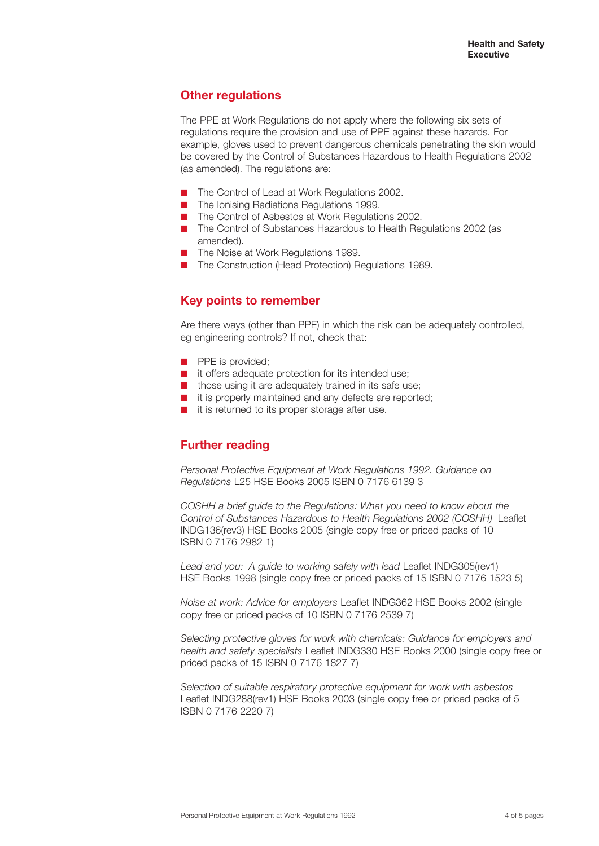## **Other regulations**

The PPE at Work Regulations do not apply where the following six sets of regulations require the provision and use of PPE against these hazards. For example, gloves used to prevent dangerous chemicals penetrating the skin would be covered by the Control of Substances Hazardous to Health Regulations 2002 (as amended). The regulations are:

- The Control of Lead at Work Regulations 2002.
- The Ionising Radiations Regulations 1999.
- The Control of Asbestos at Work Regulations 2002.
- The Control of Substances Hazardous to Health Regulations 2002 (as amended).
- **■** The Noise at Work Regulations 1989.
- The Construction (Head Protection) Regulations 1989.

# **Key points to remember**

Are there ways (other than PPE) in which the risk can be adequately controlled, eg engineering controls? If not, check that:

- **■** PPE is provided;
- **■** it offers adequate protection for its intended use;
- those using it are adequately trained in its safe use;
- it is properly maintained and any defects are reported;
- it is returned to its proper storage after use.

# **Further reading**

*Personal Protective Equipment at Work Regulations 1992. Guidance on Regulations* L25 HSE Books 2005 ISBN 0 7176 6139 3

*COSHH a brief guide to the Regulations: What you need to know about the Control of Substances Hazardous to Health Regulations 2002 (COSHH)* Leaflet INDG136(rev3) HSE Books 2005 (single copy free or priced packs of 10 ISBN 0 7176 2982 1)

*Lead and you: A guide to working safely with lead* Leaflet INDG305(rev1) HSE Books 1998 (single copy free or priced packs of 15 ISBN 0 7176 1523 5)

*Noise at work: Advice for employers* Leaflet INDG362 HSE Books 2002 (single copy free or priced packs of 10 ISBN 0 7176 2539 7)

*Selecting protective gloves for work with chemicals: Guidance for employers and health and safety specialists* Leaflet INDG330 HSE Books 2000 (single copy free or priced packs of 15 ISBN 0 7176 1827 7)

*Selection of suitable respiratory protective equipment for work with asbestos* Leaflet INDG288(rev1) HSE Books 2003 (single copy free or priced packs of 5 ISBN 0 7176 2220 7)